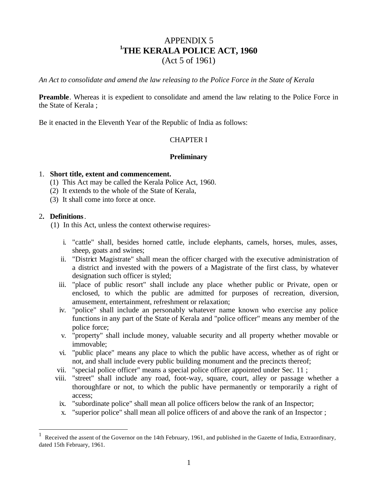# APPENDIX 5 **<sup>1</sup>THE KERALA POLICE ACT, 1960** (Act 5 of 1961)

*An Act to consolidate and amend the law releasing to the Police Force in the State of Kerala*

**Preamble**. Whereas it is expedient to consolidate and amend the law relating to the Police Force in the State of Kerala ;

Be it enacted in the Eleventh Year of the Republic of India as follows:

## CHAPTER I

### **Preliminary**

#### 1. **Short title, extent and commencement.**

- (1) This Act may be called the Kerala Police Act, 1960.
- (2) It extends to the whole of the State of Kerala,
- (3) It shall come into force at once.

#### 2**. Definitions**.

 $\overline{a}$ 

(1) In this Act, unless the context otherwise requires:-

- i. "cattle" shall, besides horned cattle, include elephants, camels, horses, mules, asses, sheep, goats and swines;
- ii. "District Magistrate" shall mean the officer charged with the executive administration of a district and invested with the powers of a Magistrate of the first class, by whatever designation such officer is styled;
- iii. "place of public resort" shall include any place whether public or Private, open or enclosed, to which the public are admitted for purposes of recreation, diversion, amusement, entertainment, refreshment or relaxation;
- iv. "police" shall include an personably whatever name known who exercise any police functions in any part of the State of Kerala and "police officer" means any member of the police force;
- v. "property" shall include money, valuable security and all property whether movable or immovable;
- vi. "public place" means any place to which the public have access, whether as of right or not, and shall include every public building monument and the precincts thereof;
- vii. "special police officer" means a special police officer appointed under Sec. 11 ;
- viii. "street" shall include any road, foot-way, square, court, alley or passage whether a thoroughfare or not, to which the public have permanently or temporarily a right of access;
- ix. "subordinate police" shall mean all police officers below the rank of an Inspector;
- x. "superior police" shall mean all police officers of and above the rank of an Inspector ;

<sup>1</sup> Received the assent of the Governor on the 14th February, 1961, and published in the Gazette of India, Extraordinary, dated 15th February, 1961.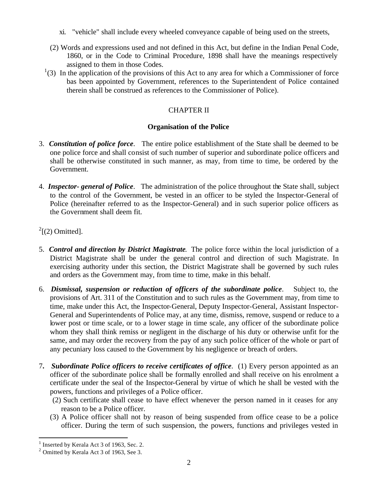- xi. "vehicle" shall include every wheeled conveyance capable of being used on the streets,
- (2) Words and expressions used and not defined in this Act, but define in the Indian Penal Code, 1860, or in the Code to Criminal Procedure, 1898 shall have the meanings respectively assigned to them in those Codes.
- $(1)(3)$  In the application of the provisions of this Act to any area for which a Commissioner of force bas been appointed by Government, references to the Superintendent of Police contained therein shall be construed as references to the Commissioner of Police).

# CHAPTER II

## **Organisation of the Police**

- 3. *Constitution of police force*. The entire police establishment of the State shall be deemed to be one police force and shall consist of such number of superior and subordinate police officers and shall be otherwise constituted in such manner, as may, from time to time, be ordered by the Government.
- 4. *Inspector- general of Police*. The administration of the police throughout the State shall, subject to the control of the Government, be vested in an officer to be styled the Inspector-General of Police (hereinafter referred to as the Inspector-General) and in such superior police officers as the Government shall deem fit.

 $2^{2}$ [(2) Omitted].

- 5. *Control and direction by District Magistrate*. The police force within the local jurisdiction of a District Magistrate shall be under the general control and direction of such Magistrate. In exercising authority under this section, the District Magistrate shall be governed by such rules and orders as the Government may, from time to time, make in this behalf.
- 6. *Dismissal, suspension or reduction of officers of the subordinate police*. Subject to, the provisions of Art. 311 of the Constitution and to such rules as the Government may, from time to time, make under this Act, the Inspector-General, Deputy Inspector-General, Assistant Inspector-General and Superintendents of Police may, at any time, dismiss, remove, suspend or reduce to a lower post or time scale, or to a lower stage in time scale, any officer of the subordinate police whom they shall think remiss or negligent in the discharge of his duty or otherwise unfit for the same, and may order the recovery from the pay of any such police officer of the whole or part of any pecuniary loss caused to the Government by his negligence or breach of orders.
- 7**.** *Subordinate Police officers to receive certificates of office*. (1) Every person appointed as an officer of the subordinate police shall be formally enrolled and shall receive on his enrolment a certificate under the seal of the Inspector-General by virtue of which he shall be vested with the powers, functions and privileges of a Police officer.
	- (2) Such certificate shall cease to have effect whenever the person named in it ceases for any reason to be a Police officer.
	- (3) A Police officer shall not by reason of being suspended from office cease to be a police officer. During the term of such suspension, the powers, functions and privileges vested in

 $\overline{a}$ 

<sup>&</sup>lt;sup>1</sup> Inserted by Kerala Act 3 of 1963, Sec. 2.

 $2$  Omitted by Kerala Act 3 of 1963, See 3.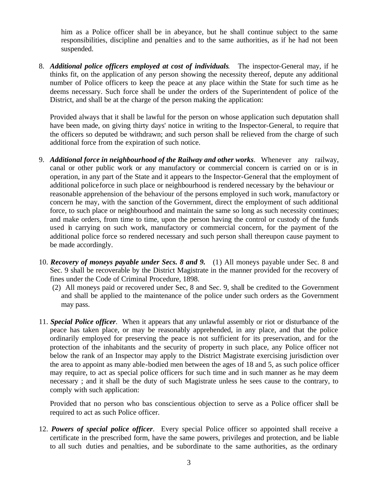him as a Police officer shall be in abeyance, but he shall continue subject to the same responsibilities, discipline and penalties and to the same authorities, as if he had not been suspended.

8. *Additional police officers employed at cost of individuals.* The inspector-General may, if he thinks fit, on the application of any person showing the necessity thereof, depute any additional number of Police officers to keep the peace at any place within the State for such time as he deems necessary. Such force shall be under the orders of the Superintendent of police of the District, and shall be at the charge of the person making the application:

Provided always that it shall be lawful for the person on whose application such deputation shall have been made, on giving thirty days' notice in writing to the Inspector-General, to require that the officers so deputed be withdrawn; and such person shall be relieved from the charge of such additional force from the expiration of such notice.

- 9. *Additional force in neighbourhood of the Railway and other works*. Whenever any railway, canal or other public work or any manufactory or commercial concern is carried on or is in operation, in any part of the State and it appears to the Inspector-General that the employment of additional policeforce in such place or neighbourhood is rendered necessary by the behaviour or reasonable apprehension of the behaviour of the persons employed in such work, manufactory or concern he may, with the sanction of the Government, direct the employment of such additional force, to such place or neighbourhood and maintain the same so long as such necessity continues; and make orders, from time to time, upon the person having the control or custody of the funds used in carrying on such work, manufactory or commercial concern, for the payment of the additional police force so rendered necessary and such person shall thereupon cause payment to be made accordingly.
- 10. *Recovery of moneys payable under Secs. 8 and 9.* (1) All moneys payable under Sec. 8 and Sec. 9 shall be recoverable by the District Magistrate in the manner provided for the recovery of fines under the Code of Criminal Procedure, 1898.
	- (2) All moneys paid or recovered under Sec, 8 and Sec. 9, shall be credited to the Government and shall be applied to the maintenance of the police under such orders as the Government may pass.
- 11. *Special Police officer*. When it appears that any unlawful assembly or riot or disturbance of the peace has taken place, or may be reasonably apprehended, in any place, and that the police ordinarily employed for preserving the peace is not sufficient for its preservation, and for the protection of the inhabitants and the security of property in such place, any Police officer not below the rank of an Inspector may apply to the District Magistrate exercising jurisdiction over the area to appoint as many able-bodied men between the ages of 18 and 5, as such police officer may require, to act as special police officers for such time and in such manner as he may deem necessary ; and it shall be the duty of such Magistrate unless he sees cause to the contrary, to comply with such application:

Provided that no person who bas conscientious objection to serve as a Police officer shall be required to act as such Police officer.

12. *Powers of special police officer*. Every special Police officer so appointed shall receive a certificate in the prescribed form, have the same powers, privileges and protection, and be liable to all such duties and penalties, and be subordinate to the same authorities, as the ordinary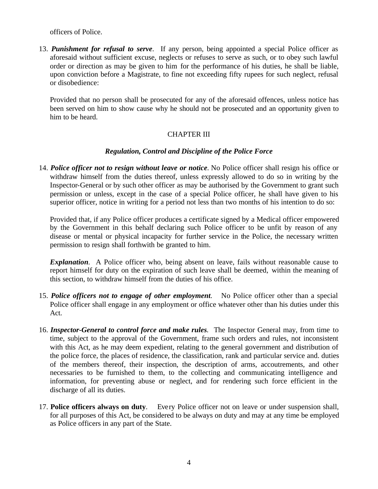officers of Police.

13. *Punishment for refusal to serve*.If any person, being appointed a special Police officer as aforesaid without sufficient excuse, neglects or refuses to serve as such, or to obey such lawful order or direction as may be given to him for the performance of his duties, he shall be liable, upon conviction before a Magistrate, to fine not exceeding fifty rupees for such neglect, refusal or disobedience:

Provided that no person shall be prosecuted for any of the aforesaid offences, unless notice has been served on him to show cause why he should not be prosecuted and an opportunity given to him to be heard.

# CHAPTER III

### *Regulation, Control and Discipline of the Police Force*

14. *Police officer not to resign without leave or notice.* No Police officer shall resign his office or withdraw himself from the duties thereof, unless expressly allowed to do so in writing by the Inspector-General or by such other officer as may be authorised by the Government to grant such permission or unless, except in the case of a special Police officer, he shall have given to his superior officer, notice in writing for a period not less than two months of his intention to do so:

Provided that, if any Police officer produces a certificate signed by a Medical officer empowered by the Government in this behalf declaring such Police officer to be unfit by reason of any disease or mental or physical incapacity for further service in the Police, the necessary written permission to resign shall forthwith be granted to him.

*Explanation.* A Police officer who, being absent on leave, fails without reasonable cause to report himself for duty on the expiration of such leave shall be deemed, within the meaning of this section, to withdraw himself from the duties of his office.

- 15. *Police officers not to engage of other employment.* No Police officer other than a special Police officer shall engage in any employment or office whatever other than his duties under this Act.
- 16. *Inspector-General to control force and make rules.* The Inspector General may, from time to time, subject to the approval of the Government, frame such orders and rules, not inconsistent with this Act, as he may deem expedient, relating to the general government and distribution of the police force, the places of residence, the classification, rank and particular service and. duties of the members thereof, their inspection, the description of arms, accoutrements, and other necessaries to be furnished to them, to the collecting and communicating intelligence and information, for preventing abuse or neglect, and for rendering such force efficient in the discharge of all its duties.
- 17. **Police officers always on duty**. Every Police officer not on leave or under suspension shall, for all purposes of this Act, be considered to be always on duty and may at any time be employed as Police officers in any part of the State.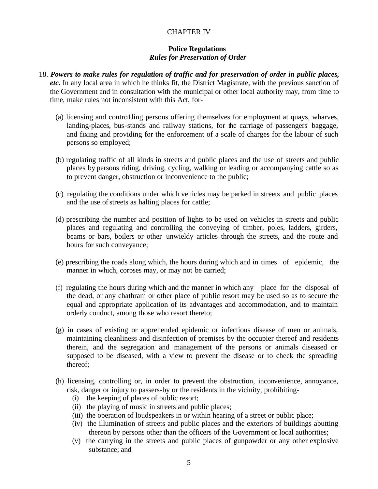## CHAPTER IV

### **Police Regulations** *Rules for Preservation of Order*

- 18. *Powers to make rules for regulation of traffic and for preservation of order in public places, etc.* In any local area in which he thinks fit, the District Magistrate, with the previous sanction of the Government and in consultation with the municipal or other local authority may, from time to time, make rules not inconsistent with this Act, for-
	- (a) licensing and contro1ling persons offering themselves for employment at quays, wharves, landing-places, bus-stands and railway stations, for the carriage of passengers' baggage, and fixing and providing for the enforcement of a scale of charges for the labour of such persons so employed;
	- (b) regulating traffic of all kinds in streets and public places and the use of streets and public places by persons riding, driving, cycling, walking or leading or accompanying cattle so as to prevent danger, obstruction or inconvenience to the public;
	- (c) regulating the conditions under which vehicles may be parked in streets and public places and the use of streets as halting places for cattle;
	- (d) prescribing the number and position of lights to be used on vehicles in streets and public places and regulating and controlling the conveying of timber, poles, ladders, girders, beams or bars, boilers or other unwieldy articles through the streets, and the route and hours for such conveyance;
	- (e) prescribing the roads along which, the hours during which and in times of epidemic, the manner in which, corpses may, or may not be carried;
	- (f) regulating the hours during which and the manner in which any place for the disposal of the dead, or any chathram or other place of public resort may be used so as to secure the equal and appropriate application of its advantages and accommodation, and to maintain orderly conduct, among those who resort thereto;
	- (g) in cases of existing or apprehended epidemic or infectious disease of men or animals, maintaining cleanliness and disinfection of premises by the occupier thereof and residents therein, and the segregation and management of the persons or animals diseased or supposed to be diseased, with a view to prevent the disease or to check the spreading thereof;
	- (h) licensing, controlling or, in order to prevent the obstruction, inconvenience, annoyance, risk, danger or injury to passers-by or the residents in the vicinity, prohibiting-
		- (i) the keeping of places of public resort;
		- (ii) the playing of music in streets and public places;
		- (iii) the operation of loudspeakers in or within hearing of a street or public place;
		- (iv) the illumination of streets and public places and the exteriors of buildings abutting thereon by persons other than the officers of the Government or local authorities;
		- (v) the carrying in the streets and public places of gunpowder or any other explosive substance; and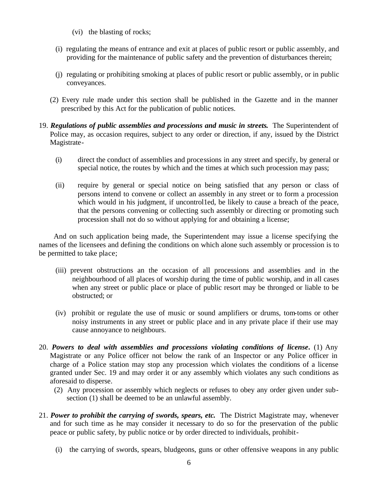- (vi) the blasting of rocks;
- (i) regulating the means of entrance and exit at places of public resort or public assembly, and providing for the maintenance of public safety and the prevention of disturbances therein;
- (j) regulating or prohibiting smoking at places of public resort or public assembly, or in public conveyances.
- (2) Every rule made under this section shall be published in the Gazette and in the manner prescribed by this Act for the publication of public notices.
- 19. *Regulations of public assemblies and processions and music in streets***.** The Superintendent of Police may, as occasion requires, subject to any order or direction, if any, issued by the District Magistrate-
	- (i) direct the conduct of assemblies and processions in any street and specify, by general or special notice, the routes by which and the times at which such procession may pass;
	- (ii) require by general or special notice on being satisfied that any person or class of persons intend to convene or collect an assembly in any street or to form a procession which would in his judgment, if uncontrolled, be likely to cause a breach of the peace, that the persons convening or collecting such assembly or directing or promoting such procession shall not do so without applying for and obtaining a license;

And on such application being made, the Superintendent may issue a license specifying the names of the licensees and defining the conditions on which alone such assembly or procession is to be permitted to take place;

- (iii) prevent obstructions an the occasion of all processions and assemblies and in the neighbourhood of all places of worship during the time of public worship, and in all cases when any street or public place or place of public resort may be thronged or liable to be obstructed; or
- (iv) prohibit or regulate the use of music or sound amplifiers or drums, tom-toms or other noisy instruments in any street or public place and in any private place if their use may cause annoyance to neighbours.
- 20. *Powers to deal with assemblies and processions violating conditions of license***.** (1) Any Magistrate or any Police officer not below the rank of an Inspector or any Police officer in charge of a Police station may stop any procession which violates the conditions of a license granted under Sec. 19 and may order it or any assembly which violates any such conditions as aforesaid to disperse.
	- (2) Any procession or assembly which neglects or refuses to obey any order given under subsection (1) shall be deemed to be an unlawful assembly.
- 21. *Power to prohibit the carrying of swords, spears, etc***.** The District Magistrate may, whenever and for such time as he may consider it necessary to do so for the preservation of the public peace or public safety, by public notice or by order directed to individuals, prohibit-
	- (i) the carrying of swords, spears, bludgeons, guns or other offensive weapons in any public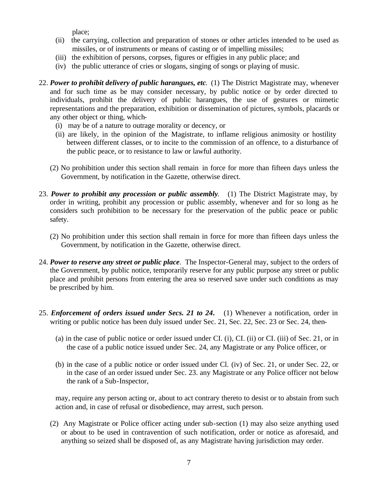place;

- (ii) the carrying, collection and preparation of stones or other articles intended to be used as missiles, or of instruments or means of casting or of impelling missiles;
- (iii) the exhibition of persons, corpses, figures or effigies in any public place; and
- (iv) the public utterance of cries or slogans, singing of songs or playing of music.
- 22. *Power to prohibit delivery of public harangues, etc*. (1) The District Magistrate may, whenever and for such time as be may consider necessary, by public notice or by order directed to individuals, prohibit the delivery of public harangues, the use of gestures or mimetic representations and the preparation, exhibition or dissemination of pictures, symbols, placards or any other object or thing, which-
	- (i) may be of a nature to outrage morality or decency, or
	- (ii) are likely, in the opinion of the Magistrate, to inflame religious animosity or hostility between different classes, or to incite to the commission of an offence, to a disturbance of the public peace, or to resistance to law or lawful authority.
	- (2) No prohibition under this section shall remain in force for more than fifteen days unless the Government, by notification in the Gazette, otherwise direct.
- 23. *Power to prohibit any procession or public assembly*. (1) The District Magistrate may, by order in writing, prohibit any procession or public assembly, whenever and for so long as he considers such prohibition to be necessary for the preservation of the public peace or public safety.
	- (2) No prohibition under this section shall remain in force for more than fifteen days unless the Government, by notification in the Gazette, otherwise direct.
- 24. *Power to reserve any street or public place*. The Inspector-General may, subject to the orders of the Government, by public notice, temporarily reserve for any public purpose any street or public place and prohibit persons from entering the area so reserved save under such conditions as may be prescribed by him.
- 25. *Enforcement of orders issued under Secs. 21 to 24***.** (1) Whenever a notification, order in writing or public notice has been duly issued under Sec. 21, Sec. 22, Sec. 23 or Sec. 24, then-
	- (a) in the case of public notice or order issued under CI. (i), CI. (ii) or CI. (iii) of Sec. 21, or in the case of a public notice issued under Sec. 24, any Magistrate or any Police officer, or
	- (b) in the case of a public notice or order issued under Cl. (iv) of Sec. 21, or under Sec. 22, or in the case of an order issued under Sec. 23. any Magistrate or any Police officer not below the rank of a Sub-Inspector,

may, require any person acting or, about to act contrary thereto to desist or to abstain from such action and, in case of refusal or disobedience, may arrest, such person.

(2) Any Magistrate or Police officer acting under sub-section (1) may also seize anything used or about to be used in contravention of such notification, order or notice as aforesaid, and anything so seized shall be disposed of, as any Magistrate having jurisdiction may order.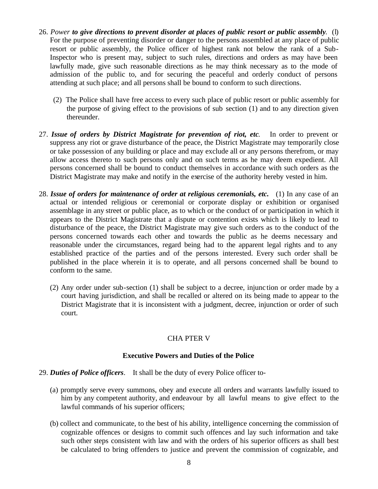- 26. *Power to give directions to prevent disorder at places of public resort or public assembly*. (l) For the purpose of preventing disorder or danger to the persons assembled at any place of public resort or public assembly, the Police officer of highest rank not below the rank of a Sub-Inspector who is present may, subject to such rules, directions and orders as may have been lawfully made, give such reasonable directions as he may think necessary as to the mode of admission of the public to, and for securing the peaceful and orderly conduct of persons attending at such place; and all persons shall be bound to conform to such directions.
	- (2) The Police shall have free access to every such place of public resort or public assembly for the purpose of giving effect to the provisions of sub section (1) and to any direction given thereunder.
- 27. *Issue of orders by District Magistrate for prevention of riot, etc*. In order to prevent or suppress any riot or grave disturbance of the peace, the District Magistrate may temporarily close or take possession of any building or place and may exclude all or any persons therefrom, or may allow access thereto to such persons only and on such terms as he may deem expedient. All persons concerned shall be bound to conduct themselves in accordance with such orders as the District Magistrate may make and notify in the exercise of the authority hereby vested in him.
- 28. *Issue of orders for maintenance of order at religious ceremonials, etc.* (1) In any case of an actual or intended religious or ceremonial or corporate display or exhibition or organised assemblage in any street or public place, as to which or the conduct of or participation in which it appears to the District Magistrate that a dispute or contention exists which is likely to lead to disturbance of the peace, the District Magistrate may give such orders as to the conduct of the persons concerned towards each other and towards the public as he deems necessary and reasonable under the circumstances, regard being had to the apparent legal rights and to any established practice of the parties and of the persons interested. Every such order shall be published in the place wherein it is to operate, and all persons concerned shall be bound to conform to the same.
	- (2) Any order under sub-section (1) shall be subject to a decree, injunc tion or order made by a court having jurisdiction, and shall be recalled or altered on its being made to appear to the District Magistrate that it is inconsistent with a judgment, decree, injunction or order of such court.

# CHA PTER V

### **Executive Powers and Duties of the Police**

## 29. *Duties of Police officers*. It shall be the duty of every Police officer to-

- (a) promptly serve every summons, obey and execute all orders and warrants lawfully issued to him by any competent authority, and endeavour by all lawful means to give effect to the lawful commands of his superior officers;
- (b) collect and communicate, to the best of his ability, intelligence concerning the commission of cognizable offences or designs to commit such offences and lay such information and take such other steps consistent with law and with the orders of his superior officers as shall best be calculated to bring offenders to justice and prevent the commission of cognizable, and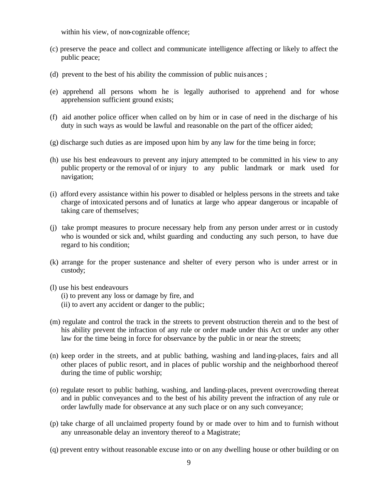within his view, of non-cognizable offence;

- (c) preserve the peace and collect and communicate intelligence affecting or likely to affect the public peace;
- (d) prevent to the best of his ability the commission of public nuis ances ;
- (e) apprehend all persons whom he is legally authorised to apprehend and for whose apprehension sufficient ground exists;
- (f) aid another police officer when called on by him or in case of need in the discharge of his duty in such ways as would be lawful and reasonable on the part of the officer aided;
- (g) discharge such duties as are imposed upon him by any law for the time being in force;
- (h) use his best endeavours to prevent any injury attempted to be committed in his view to any public property or the removal of or injury to any public landmark or mark used for navigation;
- (i) afford every assistance within his power to disabled or helpless persons in the streets and take charge of intoxicated persons and of lunatics at large who appear dangerous or incapable of taking care of themselves;
- (j) take prompt measures to procure necessary help from any person under arrest or in custody who is wounded or sick and, whilst guarding and conducting any such person, to have due regard to his condition;
- (k) arrange for the proper sustenance and shelter of every person who is under arrest or in custody;
- (l) use his best endeavours
	- (i) to prevent any loss or damage by fire, and
	- (ii) to avert any accident or danger to the public;
- (m) regulate and control the track in the streets to prevent obstruction therein and to the best of his ability prevent the infraction of any rule or order made under this Act or under any other law for the time being in force for observance by the public in or near the streets;
- (n) keep order in the streets, and at public bathing, washing and land ing-places, fairs and all other places of public resort, and in places of public worship and the neighborhood thereof during the time of public worship;
- (o) regulate resort to public bathing, washing, and landing-places, prevent overcrowding thereat and in public conveyances and to the best of his ability prevent the infraction of any rule or order lawfully made for observance at any such place or on any such conveyance;
- (p) take charge of all unclaimed property found by or made over to him and to furnish without any unreasonable delay an inventory thereof to a Magistrate;
- (q) prevent entry without reasonable excuse into or on any dwelling house or other building or on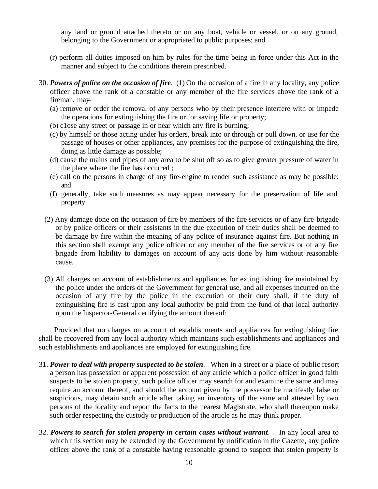any land or ground attached thereto or on any boat, vehicle or vessel, or on any ground, belonging to the Government or appropriated to public purposes; and

- (r) perform all duties imposed on him by rules for the time being in force under this Act in the manner and subject to the conditions therein prescribed.
- 30. *Powers of police on the occasion of fire*. (1) On the occasion of a fire in any locality, any police officer above the rank of a constable or any member of the fire services above the rank of a fireman, may-
	- (a) remove or order the removal of any persons who by their presence interfere with or impede the operations for extinguishing the fire or for saving life or property;
	- (b) c1ose any street or passage in or near which any fire is burning;
	- (c) by himself or those acting under his orders, break into or through or pull down, or use for the passage of houses or other appliances, any premises for the purpose of extinguishing the fire, doing as little damage as possible;
	- (d) cause the mains and pipes of any area to be shut off so as to give greater pressure of water in the place where the fire has occurred ;
	- (e) call on the persons in charge of any fire-engine to render such assistance as may be possible; and
	- (f) generally, take such measures as may appear necessary for the preservation of life and property.
	- (2) Any damage done on the occasion of fire by members of the fire services or of any fire-brigade or by police officers or their assistants in the due execution of their duties shall be deemed to be damage by fire within the meaning of any police of insurance against fire. But nothing in this section shall exempt any police officer or any member of the fire services or of any fire brigade from liability to damages on account of any acts done by him without reasonable cause.
	- (3) All charges on account of establishments and appliances for extinguishing fire maintained by the police under the orders of the Government for general use, and all expenses incurred on the occasion of any fire by the police in the execution of their duty shall, if the duty of extinguishing fire is cast upon any local authority be paid from the fund of that local authority upon the Inspector-General certifying the amount thereof:

Provided that no charges on account of establishments and appliances for extinguishing fire shall be recovered from any local authority which maintains such establishments and appliances and such establishments and appliances are employed for extinguishing fire.

- 31. *Power to deal with property suspected to be stolen*. When in a street or a place of public resort a person has possession or apparent possession of any article which a police officer in good faith suspects to be stolen property, such police officer may search for and examine the same and may require an account thereof, and should the account given by the possessor be manifestly false or suspicious, may detain such article after taking an inventory of the same and attested by two persons of the locality and report the facts to the nearest Magistrate, who shall thereupon make such order respecting the custody or production of the article as he may think proper.
- 32. *Powers to search for stolen property in certain cases without warrant*. In any local area to which this section may be extended by the Government by notification in the Gazette, any police officer above the rank of a constable having reasonable ground to suspect that stolen property is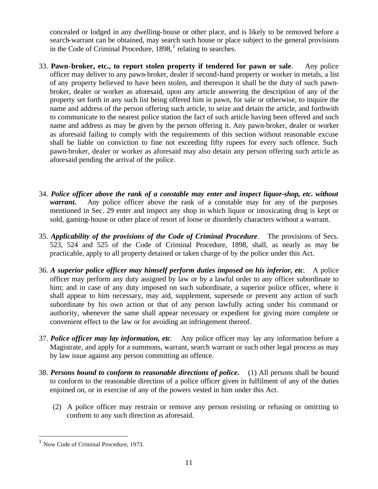concealed or lodged in any dwelling-house or other place, and is likely to be removed before a search-warrant can be obtained, may search such house or place subject to the general provisions in the Code of Criminal Procedure,  $1898$ ,  $1$  relating to searches.

- 33. **Pawn-broker, etc., to report stolen property if tendered for pawn or sale**. Any police officer may deliver to any pawn-broker, dealer if second-hand property or worker in metals, a list of any property believed to have been stolen, and thereupon it shall be the duty of such pawnbroker, dealer or worker as aforesaid, upon any article answering the description of any of the property set forth in any such list being offered him in pawn, for sale or otherwise, to inquire the name and address of the person offering such article, to seize and detain the article, and forthwith to communicate to the nearest police station the fact of such article having been offered and such name and address as may be given by the person offering it. Any pawn-broker, dealer or worker as aforesaid failing to comply with the requirements of this section without reasonable excuse shall be liable on conviction to fine not exceeding fifty rupees for every such offence. Such pawn-broker, dealer or worker as aforesaid may also detain any person offering such article as aforesaid pending the arrival of the police.
- 34. *Police officer above the rank of a constable may enter and inspect liquor-shop, etc. without warrant*. Any police officer above the rank of a constable may for any of the purposes mentioned in Sec. 29 enter and inspect any shop in which liquor or intoxicating drug is kept or sold, gaming-house or other place of resort of loose or disorderly characters without a warrant.
- 35. *Applicability of the provisions of the Code of Criminal Procedure*. The provisions of Secs. 523, 524 and 525 of the Code of Criminal Procedure, 1898, shall, as nearly as may be practicable, apply to all property detained or taken charge of by the police under this Act.
- 36. *A superior police officer may himself perform duties imposed on his inferior, etc*. A police officer may perform any duty assigned by law or by a lawful order to any officer subordinate to him; and in case of any duty imposed on such subordinate, a superior police officer, where it shall appear to him necessary, may aid, supplement, supersede or prevent any action of such subordinate by his own action or that of any person lawfully acting under his command or authority, whenever the same shall appear necessary or expedient for giving more complete or convenient effect to the law or for avoiding an infringement thereof.
- 37. *Police officer may lay information, etc*. Any police officer may lay any information before a Magistrate, and apply for a summons, warrant, search warrant or such other legal process as may by law issue against any person committing an offence.
- 38. *Persons bound to conform to reasonable directions of police***.** (1) All persons shall be bound to conform to the reasonable direction of a police officer given in fulfilment of any of the duties enjoined on, or in exercise of any of the powers vested in him under this Act.
	- (2) A police officer may restrain or remove any person resisting or refusing or omitting to conform to any such direction as aforesaid.

 $\overline{a}$ 

<sup>1</sup> Now Code of Criminal Procedure, 1973.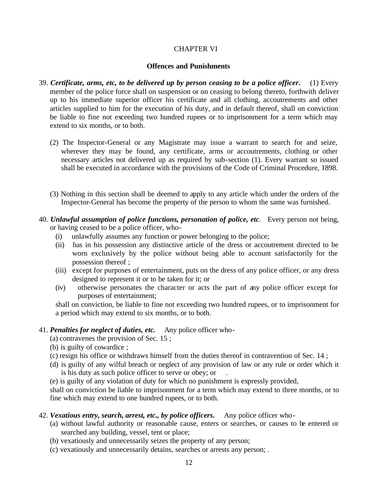### CHAPTER VI

### **Offences and Punishments**

- 39. *Certificate, arms, etc, to be delivered up by person ceasing to be a police officer***.** (1) Every member of the police force shall on suspension or on ceasing to belong thereto, forthwith deliver up to his immediate superior officer his certificate and all clothing, accoutrements and other articles supplied to him for the execution of his duty, and in default thereof, shall on conviction be liable to fine not exceeding two hundred rupees or to imprisonment for a term which may extend to six months, or to both.
	- (2) The Inspector-General or any Magistrate may issue a warrant to search for and seize, wherever they may be found, any certificate, arms or accoutrements, clothing or other necessary articles not delivered up as required by sub-section (1). Every warrant so issued shall be executed in accordance with the provisions of the Code of Criminal Procedure, 1898.
	- (3) Nothing in this section shall be deemed to apply to any article which under the orders of the Inspector-General has become the property of the person to whom the same was furnished.
- 40. *Unlawful assumption of police functions, personation of police, etc*. Every person not being, or having ceased to be a police officer, who-
	- (i) unlawfully assumes any function or power belonging to the police;
	- (ii) has in his possession any distinctive article of the dress or accoutrement directed to be worn exclusively by the police without being able to account satisfactorily for the possession thereof ;
	- (iii) except for purposes of entertainment, puts on the dress of any police officer, or any dress designed to represent it or to be taken for it; or
	- (iv) otherwise personates the character or acts the part of any police officer except for purposes of entertainment;

shall on conviction, be liable to fine not exceeding two hundred rupees, or to imprisonment for a period which may extend to six months, or to both.

## 41. *Penalties for neglect of duties, etc***.** Any police officer who-

(a) contravenes the provision of Sec. 15 ;

- (b) is guilty of cowardice ;
- (c) resign his office or withdraws himself from the duties thereof in contravention of Sec. 14 ;
- (d) is guilty of any wilful breach or neglect of any provision of law or any rule or order which it is his duty as such police officer to serve or obey; or .
- (e) is guilty of any violation of duty for which no punishment is expressly provided,

shall on conviction be liable to imprisonment for a term which may extend to three months, or to fine which may extend to one hundred rupees, or to both.

## 42. *Vexatious entry, search, arrest, etc., by police officers***.** Any police officer who-

- (a) without lawful authority or reasonable cause, enters or searches, or causes to be entered or searched any building, vessel, tent or place;
- (b) vexatiously and unnecessarily seizes the property of any person;
- (c) vexatiously and unnecessarily detains, searches or arrests any person; .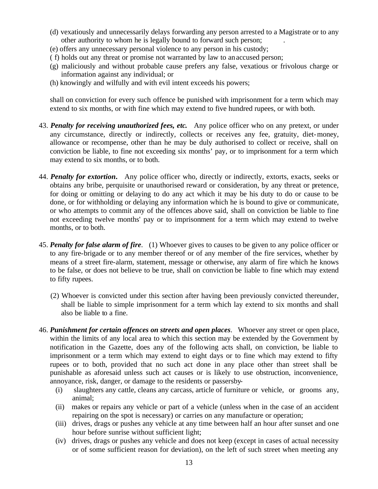- (d) vexatiously and unnecessarily delays forwarding any person arrested to a Magistrate or to any other authority to whom he is legally bound to forward such person; .
- (e) offers any unnecessary personal violence to any person in his custody;
- ( f) holds out any threat or promise not warranted by law to an accused person;
- (g) maliciously and without probable cause prefers any false, vexatious or frivolous charge or information against any individual; or
- (h) knowingly and wilfully and with evil intent exceeds his powers;

shall on conviction for every such offence be punished with imprisonment for a term which may extend to six months, or with fine which may extend to five hundred rupees, or with both.

- 43. *Penalty for receiving unauthorized fees, etc***.** Any police officer who on any pretext, or under any circumstance, directly or indirectly, collects or receives any fee, gratuity, diet-money, allowance or recompense, other than he may be duly authorised to collect or receive, shall on conviction be liable, to fine not exceeding six months' pay, or to imprisonment for a term which may extend to six months, or to both.
- 44. *Penalty for extortion***.** Any police officer who, directly or indirectly, extorts, exacts, seeks or obtains any bribe, perquisite or unauthorised reward or consideration, by any threat or pretence, for doing or omitting or delaying to do any act which it may be his duty to do or cause to be done, or for withholding or delaying any information which he is bound to give or communicate, or who attempts to commit any of the offences above said, shall on conviction be liable to fine not exceeding twelve months' pay or to imprisonment for a term which may extend to twelve months, or to both.
- 45. *Penalty for false alarm of fire*. (1) Whoever gives to causes to be given to any police officer or to any fire-brigade or to any member thereof or of any member of the fire services, whether by means of a street fire-alarm, statement, message or otherwise, any alarm of fire which he knows to be false, or does not believe to be true, shall on conviction be liable to fine which may extend to fifty rupees.
	- (2) Whoever is convicted under this section after having been previously convicted thereunder, shall be liable to simple imprisonment for a term which lay extend to six months and shall also be liable to a fine.
- 46. *Punishment for certain offences on streets and open places*. Whoever any street or open place, within the limits of any local area to which this section may be extended by the Government by notification in the Gazette, does any of the following acts shall, on conviction, be liable to imprisonment or a term which may extend to eight days or to fine which may extend to fifty rupees or to both, provided that no such act done in any place other than street shall be punishable as aforesaid unless such act causes or is likely to use obstruction, inconvenience, annoyance, risk, danger, or damage to the residents or passersby-
	- (i) slaughters any cattle, cleans any carcass, article of furniture or vehicle, or grooms any, animal;
	- (ii) makes or repairs any vehicle or part of a vehicle (unless when in the case of an accident repairing on the spot is necessary) or carries on any manufacture or operation;
	- (iii) drives, drags or pushes any vehicle at any time between half an hour after sunset and one hour before sunrise without sufficient light;
	- (iv) drives, drags or pushes any vehicle and does not keep (except in cases of actual necessity or of some sufficient reason for deviation), on the left of such street when meeting any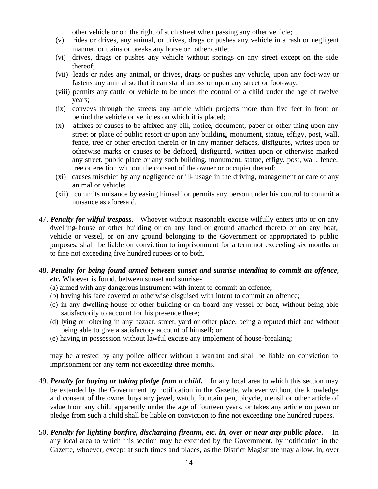other vehicle or on the right of such street when passing any other vehicle;

- (v) rides or drives, any animal, or drives, drags or pushes any vehicle in a rash or negligent manner, or trains or breaks any horse or other cattle;
- (vi) drives, drags or pushes any vehicle without springs on any street except on the side thereof;
- (vii) leads or rides any animal, or drives, drags or pushes any vehicle, upon any foot-way or fastens any animal so that it can stand across or upon any street or foot-way;
- (viii) permits any cattle or vehicle to be under the control of a child under the age of twelve years;
- (ix) conveys through the streets any article which projects more than five feet in front or behind the vehicle or vehicles on which it is placed;
- (x) affixes or causes to be affixed any bill, notice, document, paper or other thing upon any street or place of public resort or upon any building, monument, statue, effigy, post, wall, fence, tree or other erection therein or in any manner defaces, disfigures, writes upon or otherwise marks or causes to be defaced, disfigured, written upon or otherwise marked any street, public place or any such building, monument, statue, effigy, post, wall, fence, tree or erection without the consent of the owner or occupier thereof;
- (xi) causes mischief by any negligence or ill- usage in the driving, management or care of any animal or vehicle;
- (xii) commits nuisance by easing himself or permits any person under his control to commit a nuisance as aforesaid.
- 47. *Penalty for wilful trespass*. Whoever without reasonable excuse wilfully enters into or on any dwelling-house or other building or on any land or ground attached thereto or on any boat, vehicle or vessel, or on any ground belonging to the Government or appropriated to public purposes, shal1 be liable on conviction to imprisonment for a term not exceeding six months or to fine not exceeding five hundred rupees or to both.
- 48. *Penalty for being found armed between sunset and sunrise intending to commit an offence, etc***.** Whoever is found, between sunset and sunrise-
	- (a) armed with any dangerous instrument with intent to commit an offence;
	- (b) having his face covered or otherwise disguised with intent to commit an offence;
	- (c) in any dwelling-house or other building or on board any vessel or boat, without being able satisfactorily to account for his presence there;
	- (d) lying or loitering in any bazaar, street, yard or other place, being a reputed thief and without being able to give a satisfactory account of himself; or
	- (e) having in possession without lawful excuse any implement of house-breaking;

may be arrested by any police officer without a warrant and shall be liable on conviction to imprisonment for any term not exceeding three months.

- 49. *Penalty for buying or taking pledge from a child***.** In any local area to which this section may be extended by the Government by notification in the Gazette, whoever without the knowledge and consent of the owner buys any jewel, watch, fountain pen, bicycle, utensil or other article of value from any child apparently under the age of fourteen years, or takes any article on pawn or pledge from such a child shall be liable on conviction to fine not exceeding one hundred rupees.
- 50. *Penalty for lighting bonfire, discharging firearm, etc. in, over or near any public place***.** In any local area to which this section may be extended by the Government, by notification in the Gazette, whoever, except at such times and places, as the District Magistrate may allow, in, over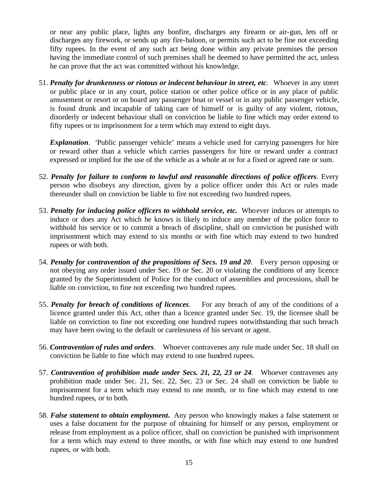or near any public place, lights any bonfire, discharges any firearm or air-gun, lets off or discharges any firework, or sends up any fire-baloon, or permits such act to be fine not exceeding fifty rupees. In the event of any such act being done within any private premises the person having the immediate control of such premises shall be deemed to have permitted the act, unless he can prove that the act was committed without his knowledge.

51. *Penalty for drunkenness or riotous or indecent behaviour in street, etc*. Whoever in any street or public place or in any court, police station or other police office or in any place of public amusement or resort or on board any passenger boat or vessel or in any public passenger vehicle, is found drunk and incapable of taking care of himself or is guilty of any violent, riotous, disorderly or indecent behaviour shall on conviction be liable to fine which may order extend to fifty rupees or to imprisonment for a term which may extend to eight days.

*Explanation*. 'Public passenger vehicle' means a vehicle used for carrying passengers for hire or reward other than a vehicle which carries passengers for hire or reward under a contract expressed or implied for the use of the vehicle as a whole at or for a fixed or agreed rate or sum.

- 52. *Penalty for failure to conform to lawful and reasonable directions of police officers*. Every person who disobeys any direction, given by a police officer under this Act or rules made thereunder shall on conviction be liable to fire not exceeding two hundred rupees.
- 53. *Penalty for inducing police officers to withhold service, etc***.** Whoever induces or attempts to induce or does any Act which he knows is likely to induce any member of the police force to withhold his service or to commit a breach of discipline, shall on conviction be punished with imprisonment which may extend to six months or with fine which may extend to two hundred rupees or with both.
- 54. *Penalty for contravention of the propositions of Secs. 19 and 20*. Every person opposing or not obeying any order issued under Sec. 19 or Sec. 20 or violating the conditions of any licence granted by the Superintendent of Police for the conduct of assemblies and processions, shall be liable on conviction, to fine not exceeding two hundred rupees.
- 55. *Penalty for breach of conditions of licences*. For any breach of any of the conditions of a licence granted under this Act, other than a licence granted under Sec. 19, the licensee shall be liable on conviction to fine not exceeding one hundred rupees notwithstanding that such breach may have been owing to the default or carelessness of his servant or agent.
- 56. *Contravention of rules and orders*. Whoever contravenes any rule made under Sec. 18 shall on conviction be liable to fine which may extend to one hundred rupees.
- 57. *Contravention of prohibition made under Secs. 21, 22, 23 or 24*. Whoever contravenes any prohibition made under Sec. 21, Sec. 22, Sec. 23 or Sec. 24 shall on conviction be liable to imprisonment for a term which may extend to one month, or to fine which may extend to one hundred rupees, or to both.
- 58. *False statement to obtain employment***.** Any person who knowingly makes a false statement or uses a false document for the purpose of obtaining for himself or any person, employment or release from employment as a police officer, shall on conviction be punished with imprisonment for a term which may extend to three months, or with fine which may extend to one hundred rupees, or with both.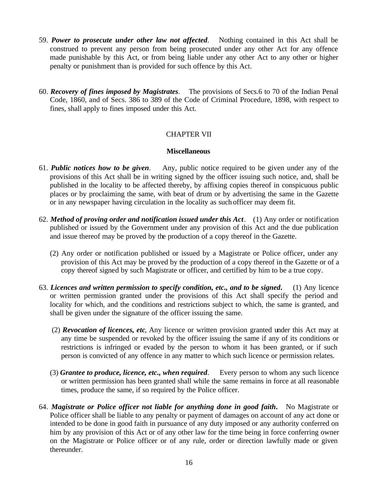- 59. *Power to prosecute under other law not affected*. Nothing contained in this Act shall be construed to prevent any person from being prosecuted under any other Act for any offence made punishable by this Act, or from being liable under any other Act to any other or higher penalty or punishment than is provided for such offence by this Act.
- 60. *Recovery of fines imposed by Magistrates*. The provisions of Secs.6 to 70 of the Indian Penal Code, 1860, and of Secs. 386 to 389 of the Code of Criminal Procedure, 1898, with respect to fines, shall apply to fines imposed under this Act.

# CHAPTER VII

### **Miscellaneous**

- 61. *Public notices how to be given*. Any, public notice required to be given under any of the provisions of this Act shall be in writing signed by the officer issuing such notice, and, shall be published in the locality to be affected thereby, by affixing copies thereof in conspicuous public places or by proclaiming the same, with beat of drum or by advertising the same in the Gazette or in any newspaper having circulation in the locality as such officer may deem fit.
- 62. *Method of proving order and notification issued under this Act*. (1) Any order or notification published or issued by the Government under any provision of this Act and the due publication and issue thereof may be proved by the production of a copy thereof in the Gazette.
	- (2) Any order or notification published or issued by a Magistrate or Police officer, under any provision of this Act may be proved by the production of a copy thereof in the Gazette or of a copy thereof signed by such Magistrate or officer, and certified by him to be a true copy.
- 63. *Licences and written permission to specify condition, etc., and to be signed***.** (1) Any licence or written permission granted under the provisions of this Act shall specify the period and locality for which, and the conditions and restrictions subject to which, the same is granted, and shall be given under the signature of the officer issuing the same.
	- (2) *Revocation of licences, etc*, Any licence or written provision granted under this Act may at any time be suspended or revoked by the officer issuing the same if any of its conditions or restrictions is infringed or evaded by the person to whom it has been granted, or if such person is convicted of any offence in any matter to which such licence or permission relates.
	- (3) *Grantee to produce, licence, etc., when required*. Every person to whom any such licence or written permission has been granted shall while the same remains in force at all reasonable times, produce the same, if so required by the Police officer.
- 64. *Magistrate or Police officer not liable for anything done in good faith***.** No Magistrate or Police officer shall be liable to any penalty or payment of damages on account of any act done or intended to be done in good faith in pursuance of any duty imposed or any authority conferred on him by any provision of this Act or of any other law for the time being in force conferring owner on the Magistrate or Police officer or of any rule, order or direction lawfully made or given thereunder.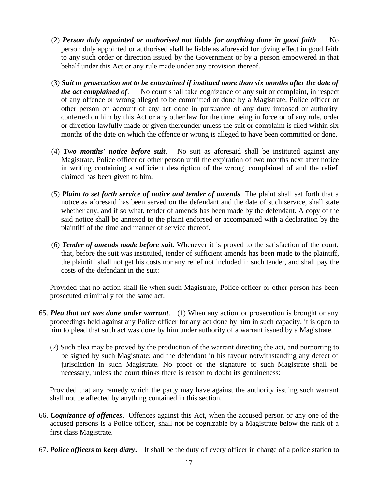- (2) *Person duly appointed or authorised not liable for anything done in good faith*. No person duly appointed or authorised shall be liable as aforesaid for giving effect in good faith to any such order or direction issued by the Government or by a person empowered in that behalf under this Act or any rule made under any provision thereof.
- (3) *Suit or prosecution not to be entertained if institued more than six months after the date of the act complained of*. No court shall take cognizance of any suit or complaint, in respect of any offence or wrong alleged to be committed or done by a Magistrate, Police officer or other person on account of any act done in pursuance of any duty imposed or authority conferred on him by this Act or any other law for the time being in force or of any rule, order or direction lawfully made or given thereunder unless the suit or complaint is filed within six months of the date on which the offence or wrong is alleged to have been committed or done.
- (4) *Two months' notice before suit*. No suit as aforesaid shall be instituted against any Magistrate, Police officer or other person until the expiration of two months next after notice in writing containing a sufficient description of the wrong complained of and the relief claimed has been given to him.
- (5) *Plaint to set forth service of notice and tender of amends*. The plaint shall set forth that a notice as aforesaid has been served on the defendant and the date of such service, shall state whether any, and if so what, tender of amends has been made by the defendant. A copy of the said notice shall be annexed to the plaint endorsed or accompanied with a declaration by the plaintiff of the time and manner of service thereof.
- (6) *Tender of amends made before suit*. Whenever it is proved to the satisfaction of the court, that, before the suit was instituted, tender of sufficient amends has been made to the plaintiff, the plaintiff shall not get his costs nor any relief not included in such tender, and shall pay the costs of the defendant in the suit:

Provided that no action shall lie when such Magistrate, Police officer or other person has been prosecuted criminally for the same act.

- 65. *Plea that act was done under warrant*. (1) When any action or prosecution is brought or any proceedings held against any Police officer for any act done by him in such capacity, it is open to him to plead that such act was done by him under authority of a warrant issued by a Magistrate.
	- (2) Such plea may be proved by the production of the warrant directing the act, and purporting to be signed by such Magistrate; and the defendant in his favour notwithstanding any defect of jurisdiction in such Magistrate. No proof of the signature of such Magistrate shall be necessary, unless the court thinks there is reason to doubt its genuineness:

Provided that any remedy which the party may have against the authority issuing such warrant shall not be affected by anything contained in this section.

- 66. *Cognizance of offences*. Offences against this Act, when the accused person or any one of the accused persons is a Police officer, shall not be cognizable by a Magistrate below the rank of a first class Magistrate.
- 67. *Police officers to keep diary***.** It shall be the duty of every officer in charge of a police station to